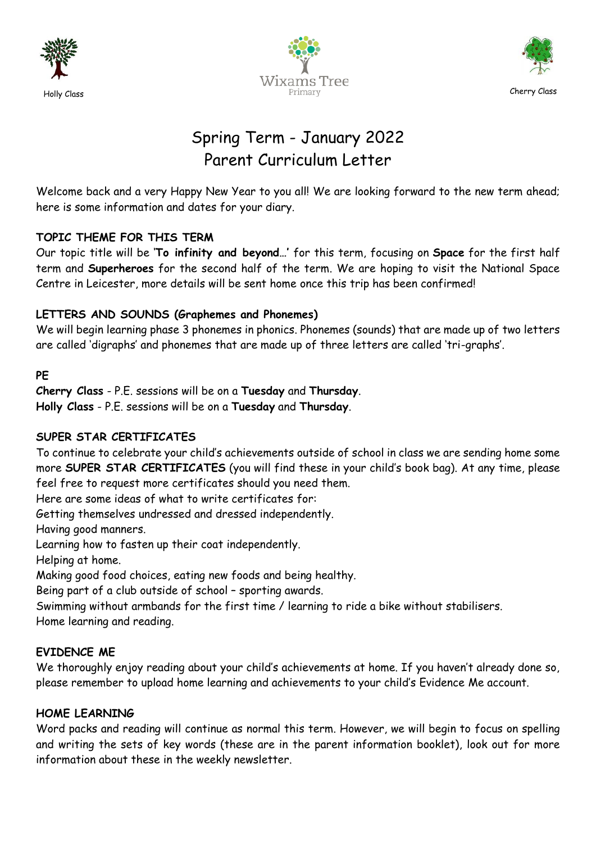





# Spring Term - January 2022 Parent Curriculum Letter

Welcome back and a very Happy New Year to you all! We are looking forward to the new term ahead; here is some information and dates for your diary.

# **TOPIC THEME FOR THIS TERM**

Our topic title will be '**To infinity and beyond…'** for this term, focusing on **Space** for the first half term and **Superheroes** for the second half of the term. We are hoping to visit the National Space Centre in Leicester, more details will be sent home once this trip has been confirmed!

## **LETTERS AND SOUNDS (Graphemes and Phonemes)**

We will begin learning phase 3 phonemes in phonics. Phonemes (sounds) that are made up of two letters are called 'digraphs' and phonemes that are made up of three letters are called 'tri-graphs'.

**PE**

**Cherry Class** - P.E. sessions will be on a **Tuesday** and **Thursday**. **Holly Class** - P.E. sessions will be on a **Tuesday** and **Thursday**.

## **SUPER STAR CERTIFICATES**

To continue to celebrate your child's achievements outside of school in class we are sending home some more **SUPER STAR CERTIFICATES** (you will find these in your child's book bag). At any time, please feel free to request more certificates should you need them.

Here are some ideas of what to write certificates for:

Getting themselves undressed and dressed independently.

Having good manners.

Learning how to fasten up their coat independently.

Helping at home.

Making good food choices, eating new foods and being healthy.

Being part of a club outside of school – sporting awards.

Swimming without armbands for the first time / learning to ride a bike without stabilisers. Home learning and reading.

## **EVIDENCE ME**

We thoroughly enjoy reading about your child's achievements at home. If you haven't already done so, please remember to upload home learning and achievements to your child's Evidence Me account.

## **HOME LEARNING**

Word packs and reading will continue as normal this term. However, we will begin to focus on spelling and writing the sets of key words (these are in the parent information booklet), look out for more information about these in the weekly newsletter.